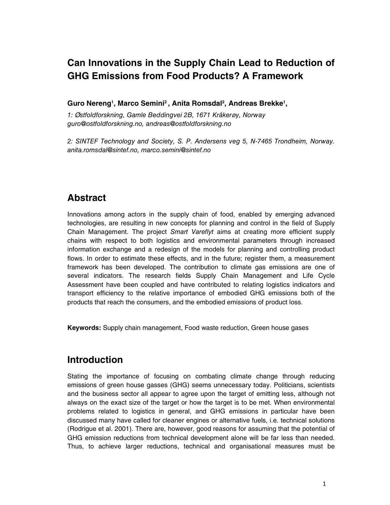# **Can Innovations in the Supply Chain Lead to Reduction of GHG Emissions from Food Products? A Framework**

**Guro Nereng<sup>1</sup> , Marco Semini<sup>2</sup>, Anita Romsdal<sup>2</sup> , Andreas Brekke<sup>1</sup> ,** 

1: Østfoldforskning, Gamle Beddingvei 2B, 1671 Kråkerøy, Norway guro@ostfoldforskning.no, andreas@ostfoldforskning.no

2: SINTEF Technology and Society, S. P. Andersens veg 5, N-7465 Trondheim, Norway. anita.romsdal@sintef.no, marco.semini@sintef.no

## **Abstract**

Innovations among actors in the supply chain of food, enabled by emerging advanced technologies, are resulting in new concepts for planning and control in the field of Supply Chain Management. The project Smart Vareflyt aims at creating more efficient supply chains with respect to both logistics and environmental parameters through increased information exchange and a redesign of the models for planning and controlling product flows. In order to estimate these effects, and in the future; register them, a measurement framework has been developed. The contribution to climate gas emissions are one of several indicators. The research fields Supply Chain Management and Life Cycle Assessment have been coupled and have contributed to relating logistics indicators and transport efficiency to the relative importance of embodied GHG emissions both of the products that reach the consumers, and the embodied emissions of product loss.

**Keywords:** Supply chain management, Food waste reduction, Green house gases

## **Introduction**

Stating the importance of focusing on combating climate change through reducing emissions of green house gasses (GHG) seems unnecessary today. Politicians, scientists and the business sector all appear to agree upon the target of emitting less, although not always on the exact size of the target or how the target is to be met. When environmental problems related to logistics in general, and GHG emissions in particular have been discussed many have called for cleaner engines or alternative fuels, i.e. technical solutions (Rodrigue et al. 2001). There are, however, good reasons for assuming that the potential of GHG emission reductions from technical development alone will be far less than needed. Thus, to achieve larger reductions, technical and organisational measures must be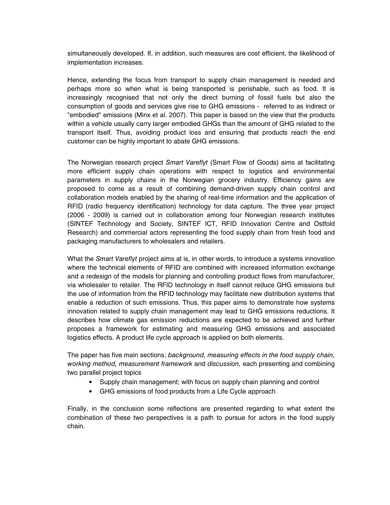simultaneously developed. If, in addition, such measures are cost efficient, the likelihood of implementation increases.

Hence, extending the focus from transport to supply chain management is needed and perhaps more so when what is being transported is perishable, such as food. It is increasingly recognised that not only the direct burning of fossil fuels but also the consumption of goods and services give rise to GHG emissions - referred to as indirect or "embodied" emissions (Minx et al. 2007). This paper is based on the view that the products within a vehicle usually carry larger embodied GHGs than the amount of GHG related to the transport itself. Thus, avoiding product loss and ensuring that products reach the end customer can be highly important to abate GHG emissions.

The Norwegian research project Smart Vareflyt (Smart Flow of Goods) aims at facilitating more efficient supply chain operations with respect to logistics and environmental parameters in supply chains in the Norwegian grocery industry. Efficiency gains are proposed to come as a result of combining demand-driven supply chain control and collaboration models enabled by the sharing of real-time information and the application of RFID (radio frequency identification) technology for data capture. The three year project (2006 - 2009) is carried out in collaboration among four Norwegian research institutes (SINTEF Technology and Society, SINTEF ICT, RFID Innovation Centre and Ostfold Research) and commercial actors representing the food supply chain from fresh food and packaging manufacturers to wholesalers and retailers.

What the Smart Vareflyt project aims at is, in other words, to introduce a systems innovation where the technical elements of RFID are combined with increased information exchange and a redesign of the models for planning and controlling product flows from manufacturer, via wholesaler to retailer. The RFID technology in itself cannot reduce GHG emissions but the use of information from the RFID technology may facilitate new distribution systems that enable a reduction of such emissions. Thus, this paper aims to demonstrate how systems innovation related to supply chain management may lead to GHG emissions reductions. It describes how climate gas emission reductions are expected to be achieved and further proposes a framework for estimating and measuring GHG emissions and associated logistics effects. A product life cycle approach is applied on both elements.

The paper has five main sections; background, measuring effects in the food supply chain, working method, measurement framework and discussion, each presenting and combining two parallel project topics

- Supply chain management; with focus on supply chain planning and control
- GHG emissions of food products from a Life Cycle approach

Finally, in the conclusion some reflections are presented regarding to what extent the combination of these two perspectives is a path to pursue for actors in the food supply chain.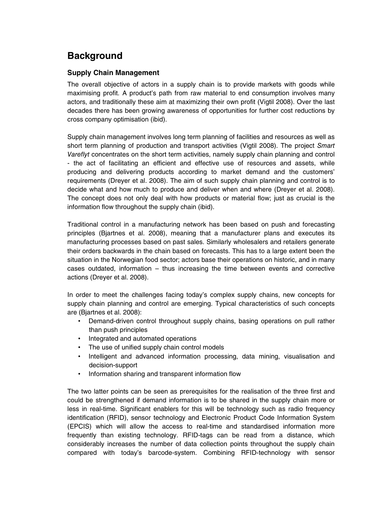# **Background**

### **Supply Chain Management**

The overall objective of actors in a supply chain is to provide markets with goods while maximising profit. A product's path from raw material to end consumption involves many actors, and traditionally these aim at maximizing their own profit (Vigtil 2008). Over the last decades there has been growing awareness of opportunities for further cost reductions by cross company optimisation (ibid).

Supply chain management involves long term planning of facilities and resources as well as short term planning of production and transport activities (Vigtil 2008). The project Smart Vareflyt concentrates on the short term activities, namely supply chain planning and control - the act of facilitating an efficient and effective use of resources and assets, while producing and delivering products according to market demand and the customers' requirements (Dreyer et al. 2008). The aim of such supply chain planning and control is to decide what and how much to produce and deliver when and where (Dreyer et al. 2008). The concept does not only deal with how products or material flow; just as crucial is the information flow throughout the supply chain (ibid).

Traditional control in a manufacturing network has been based on push and forecasting principles (Bjartnes et al. 2008), meaning that a manufacturer plans and executes its manufacturing processes based on past sales. Similarly wholesalers and retailers generate their orders backwards in the chain based on forecasts. This has to a large extent been the situation in the Norwegian food sector; actors base their operations on historic, and in many cases outdated, information – thus increasing the time between events and corrective actions (Dreyer et al. 2008).

In order to meet the challenges facing today's complex supply chains, new concepts for supply chain planning and control are emerging. Typical characteristics of such concepts are (Bjartnes et al. 2008):

- Demand-driven control throughout supply chains, basing operations on pull rather than push principles
- Integrated and automated operations
- The use of unified supply chain control models
- Intelligent and advanced information processing, data mining, visualisation and decision-support
- Information sharing and transparent information flow

The two latter points can be seen as prerequisites for the realisation of the three first and could be strengthened if demand information is to be shared in the supply chain more or less in real-time. Significant enablers for this will be technology such as radio frequency identification (RFID), sensor technology and Electronic Product Code Information System (EPCIS) which will allow the access to real-time and standardised information more frequently than existing technology. RFID-tags can be read from a distance, which considerably increases the number of data collection points throughout the supply chain compared with today's barcode-system. Combining RFID-technology with sensor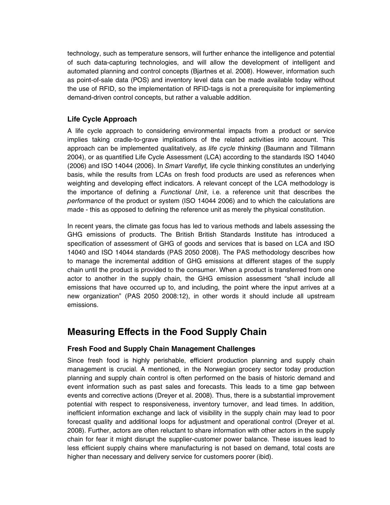technology, such as temperature sensors, will further enhance the intelligence and potential of such data-capturing technologies, and will allow the development of intelligent and automated planning and control concepts (Bjartnes et al. 2008). However, information such as point-of-sale data (POS) and inventory level data can be made available today without the use of RFID, so the implementation of RFID-tags is not a prerequisite for implementing demand-driven control concepts, but rather a valuable addition.

### **Life Cycle Approach**

A life cycle approach to considering environmental impacts from a product or service implies taking cradle-to-grave implications of the related activities into account. This approach can be implemented qualitatively, as life cycle thinking (Baumann and Tillmann 2004), or as quantified Life Cycle Assessment (LCA) according to the standards ISO 14040 (2006) and ISO 14044 (2006). In Smart Vareflyt, life cycle thinking constitutes an underlying basis, while the results from LCAs on fresh food products are used as references when weighting and developing effect indicators. A relevant concept of the LCA methodology is the importance of defining a *Functional Unit*, i.e. a reference unit that describes the performance of the product or system (ISO 14044 2006) and to which the calculations are made - this as opposed to defining the reference unit as merely the physical constitution.

In recent years, the climate gas focus has led to various methods and labels assessing the GHG emissions of products. The British British Standards Institute has introduced a specification of assessment of GHG of goods and services that is based on LCA and ISO 14040 and ISO 14044 standards (PAS 2050 2008). The PAS methodology describes how to manage the incremental addition of GHG emissions at different stages of the supply chain until the product is provided to the consumer. When a product is transferred from one actor to another in the supply chain, the GHG emission assessment "shall include all emissions that have occurred up to, and including, the point where the input arrives at a new organization" (PAS 2050 2008:12), in other words it should include all upstream emissions.

## **Measuring Effects in the Food Supply Chain**

### **Fresh Food and Supply Chain Management Challenges**

Since fresh food is highly perishable, efficient production planning and supply chain management is crucial. A mentioned, in the Norwegian grocery sector today production planning and supply chain control is often performed on the basis of historic demand and event information such as past sales and forecasts. This leads to a time gap between events and corrective actions (Dreyer et al. 2008). Thus, there is a substantial improvement potential with respect to responsiveness, inventory turnover, and lead times. In addition, inefficient information exchange and lack of visibility in the supply chain may lead to poor forecast quality and additional loops for adjustment and operational control (Dreyer et al. 2008). Further, actors are often reluctant to share information with other actors in the supply chain for fear it might disrupt the supplier-customer power balance. These issues lead to less efficient supply chains where manufacturing is not based on demand, total costs are higher than necessary and delivery service for customers poorer (ibid).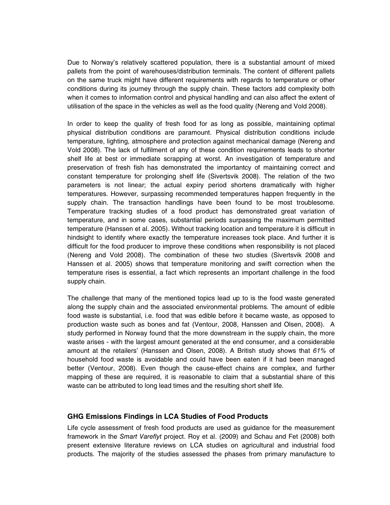Due to Norway's relatively scattered population, there is a substantial amount of mixed pallets from the point of warehouses/distribution terminals. The content of different pallets on the same truck might have different requirements with regards to temperature or other conditions during its journey through the supply chain. These factors add complexity both when it comes to information control and physical handling and can also affect the extent of utilisation of the space in the vehicles as well as the food quality (Nereng and Vold 2008).

In order to keep the quality of fresh food for as long as possible, maintaining optimal physical distribution conditions are paramount. Physical distribution conditions include temperature, lighting, atmosphere and protection against mechanical damage (Nereng and Vold 2008). The lack of fulfilment of any of these condition requirements leads to shorter shelf life at best or immediate scrapping at worst. An investigation of temperature and preservation of fresh fish has demonstrated the importantcy of maintaining correct and constant temperature for prolonging shelf life (Sivertsvik 2008). The relation of the two parameters is not linear; the actual expiry period shortens dramatically with higher temperatures. However, surpassing recommended temperatures happen frequently in the supply chain. The transaction handlings have been found to be most troublesome. Temperature tracking studies of a food product has demonstrated great variation of temperature, and in some cases, substantial periods surpassing the maximum permitted temperature (Hanssen et al. 2005). Without tracking location and temperature it is difficult in hindsight to identify where exactly the temperature increases took place. And further it is difficult for the food producer to improve these conditions when responsibility is not placed (Nereng and Vold 2008). The combination of these two studies (Sivertsvik 2008 and Hanssen et al. 2005) shows that temperature monitoring and swift correction when the temperature rises is essential, a fact which represents an important challenge in the food supply chain.

The challenge that many of the mentioned topics lead up to is the food waste generated along the supply chain and the associated environmental problems. The amount of edible food waste is substantial, i.e. food that was edible before it became waste, as opposed to production waste such as bones and fat (Ventour, 2008, Hanssen and Olsen, 2008). A study performed in Norway found that the more downstream in the supply chain, the more waste arises - with the largest amount generated at the end consumer, and a considerable amount at the retailers' (Hanssen and Olsen, 2008). A British study shows that  $61\%$  of household food waste is avoidable and could have been eaten if it had been managed better (Ventour, 2008). Even though the cause-effect chains are complex, and further mapping of these are required, it is reasonable to claim that a substantial share of this waste can be attributed to long lead times and the resulting short shelf life.

#### **GHG Emissions Findings in LCA Studies of Food Products**

Life cycle assessment of fresh food products are used as guidance for the measurement framework in the Smart Vareflyt project. Roy et al. (2009) and Schau and Fet (2008) both present extensive literature reviews on LCA studies on agricultural and industrial food products. The majority of the studies assessed the phases from primary manufacture to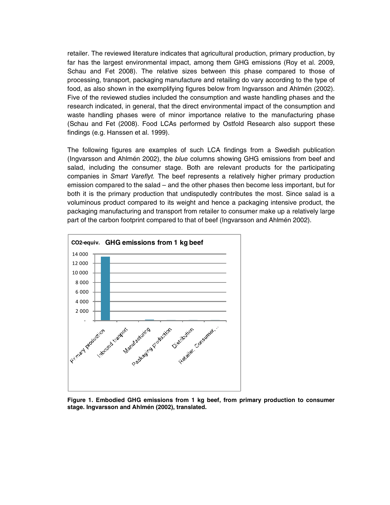retailer. The reviewed literature indicates that agricultural production, primary production, by far has the largest environmental impact, among them GHG emissions (Roy et al. 2009, Schau and Fet 2008). The relative sizes between this phase compared to those of processing, transport, packaging manufacture and retailing do vary according to the type of food, as also shown in the exemplifying figures below from Ingvarsson and Ahlmén (2002). Five of the reviewed studies included the consumption and waste handling phases and the research indicated, in general, that the direct environmental impact of the consumption and waste handling phases were of minor importance relative to the manufacturing phase (Schau and Fet (2008). Food LCAs performed by Ostfold Research also support these findings (e.g. Hanssen et al. 1999).

The following figures are examples of such LCA findings from a Swedish publication (Ingvarsson and Ahlmén 2002), the blue columns showing GHG emissions from beef and salad, including the consumer stage. Both are relevant products for the participating companies in Smart Vareflyt. The beef represents a relatively higher primary production emission compared to the salad – and the other phases then become less important, but for both it is the primary production that undisputedly contributes the most. Since salad is a voluminous product compared to its weight and hence a packaging intensive product, the packaging manufacturing and transport from retailer to consumer make up a relatively large part of the carbon footprint compared to that of beef (Ingvarsson and Ahlmén 2002).



**Figure 1. Embodied GHG emissions from 1 kg beef, from primary production to consumer stage. Ingvarsson and Ahlmén (2002), translated.**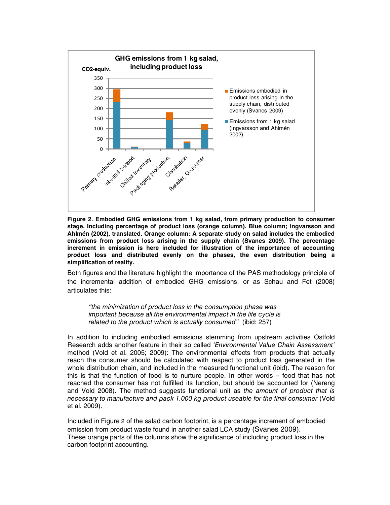

**Figure 2. Embodied GHG emissions from 1 kg salad, from primary production to consumer stage. Including percentage of product loss (orange column). Blue column; Ingvarsson and Ahlmén (2002), translated. Orange column: A separate study on salad includes the embodied emissions from product loss arising in the supply chain (Svanes 2009). The percentage increment in emission is here included for illustration of the importance of accounting product loss and distributed evenly on the phases, the even distribution being a simplification of reality.** 

Both figures and the literature highlight the importance of the PAS methodology principle of the incremental addition of embodied GHG emissions, or as Schau and Fet (2008) articulates this:

"the minimization of product loss in the consumption phase was important because all the environmental impact in the life cycle is related to the product which is actually consumed" (ibid: 257)

In addition to including embodied emissions stemming from upstream activities Ostfold Research adds another feature in their so called 'Environmental Value Chain Assessment' method (Vold et al. 2005; 2009): The environmental effects from products that actually reach the consumer should be calculated with respect to product loss generated in the whole distribution chain, and included in the measured functional unit (ibid). The reason for this is that the function of food is to nurture people. In other words – food that has not reached the consumer has not fulfilled its function, but should be accounted for (Nereng and Vold 2008). The method suggests functional unit as the amount of product that is necessary to manufacture and pack 1.000 kg product useable for the final consumer (Vold et al. 2009).

Included in Figure 2 of the salad carbon footprint, is a percentage increment of embodied emission from product waste found in another salad LCA study (Svanes 2009). These orange parts of the columns show the significance of including product loss in the carbon footprint accounting.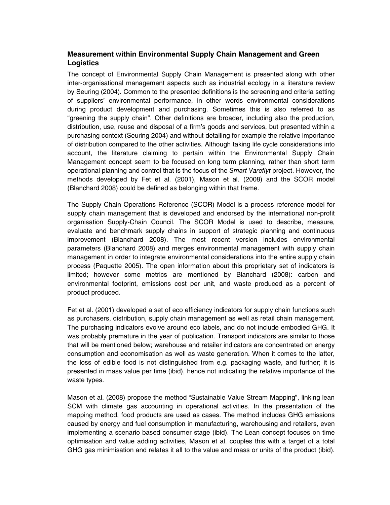### **Measurement within Environmental Supply Chain Management and Green Logistics**

The concept of Environmental Supply Chain Management is presented along with other inter-organisational management aspects such as industrial ecology in a literature review by Seuring (2004). Common to the presented definitions is the screening and criteria setting of suppliers' environmental performance, in other words environmental considerations during product development and purchasing. Sometimes this is also referred to as "greening the supply chain". Other definitions are broader, including also the production, distribution, use, reuse and disposal of a firm's goods and services, but presented within a purchasing context (Seuring 2004) and without detailing for example the relative importance of distribution compared to the other activities. Although taking life cycle considerations into account, the literature claiming to pertain within the Environmental Supply Chain Management concept seem to be focused on long term planning, rather than short term operational planning and control that is the focus of the Smart Vareflyt project. However, the methods developed by Fet et al. (2001), Mason et al. (2008) and the SCOR model (Blanchard 2008) could be defined as belonging within that frame.

The Supply Chain Operations Reference (SCOR) Model is a process reference model for supply chain management that is developed and endorsed by the international non-profit organisation Supply-Chain Council. The SCOR Model is used to describe, measure, evaluate and benchmark supply chains in support of strategic planning and continuous improvement (Blanchard 2008). The most recent version includes environmental parameters (Blanchard 2008) and merges environmental management with supply chain management in order to integrate environmental considerations into the entire supply chain process (Paquette 2005). The open information about this proprietary set of indicators is limited; however some metrics are mentioned by Blanchard (2008): carbon and environmental footprint, emissions cost per unit, and waste produced as a percent of product produced.

Fet et al. (2001) developed a set of eco efficiency indicators for supply chain functions such as purchasers, distribution, supply chain management as well as retail chain management. The purchasing indicators evolve around eco labels, and do not include embodied GHG. It was probably premature in the year of publication. Transport indicators are similar to those that will be mentioned below; warehouse and retailer indicators are concentrated on energy consumption and economisation as well as waste generation. When it comes to the latter, the loss of edible food is not distinguished from e.g. packaging waste, and further; it is presented in mass value per time (ibid), hence not indicating the relative importance of the waste types.

Mason et al. (2008) propose the method "Sustainable Value Stream Mapping", linking lean SCM with climate gas accounting in operational activities. In the presentation of the mapping method, food products are used as cases. The method includes GHG emissions caused by energy and fuel consumption in manufacturing, warehousing and retailers, even implementing a scenario based consumer stage (ibid). The Lean concept focuses on time optimisation and value adding activities, Mason et al. couples this with a target of a total GHG gas minimisation and relates it all to the value and mass or units of the product (ibid).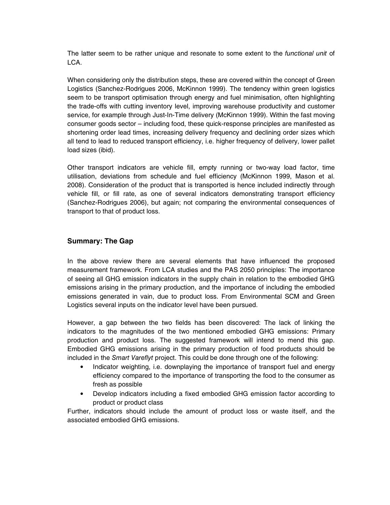The latter seem to be rather unique and resonate to some extent to the *functional unit* of LCA.

When considering only the distribution steps, these are covered within the concept of Green Logistics (Sanchez-Rodrigues 2006, McKinnon 1999). The tendency within green logistics seem to be transport optimisation through energy and fuel minimisation, often highlighting the trade-offs with cutting inventory level, improving warehouse productivity and customer service, for example through Just-In-Time delivery (McKinnon 1999). Within the fast moving consumer goods sector – including food, these quick-response principles are manifested as shortening order lead times, increasing delivery frequency and declining order sizes which all tend to lead to reduced transport efficiency, i.e. higher frequency of delivery, lower pallet load sizes (ibid).

Other transport indicators are vehicle fill, empty running or two-way load factor, time utilisation, deviations from schedule and fuel efficiency (McKinnon 1999, Mason et al. 2008). Consideration of the product that is transported is hence included indirectly through vehicle fill, or fill rate, as one of several indicators demonstrating transport efficiency (Sanchez-Rodrigues 2006), but again; not comparing the environmental consequences of transport to that of product loss.

### **Summary: The Gap**

In the above review there are several elements that have influenced the proposed measurement framework. From LCA studies and the PAS 2050 principles: The importance of seeing all GHG emission indicators in the supply chain in relation to the embodied GHG emissions arising in the primary production, and the importance of including the embodied emissions generated in vain, due to product loss. From Environmental SCM and Green Logistics several inputs on the indicator level have been pursued.

However, a gap between the two fields has been discovered: The lack of linking the indicators to the magnitudes of the two mentioned embodied GHG emissions: Primary production and product loss. The suggested framework will intend to mend this gap. Embodied GHG emissions arising in the primary production of food products should be included in the Smart Vareflyt project. This could be done through one of the following:

- Indicator weighting, i.e. downplaying the importance of transport fuel and energy efficiency compared to the importance of transporting the food to the consumer as fresh as possible
- Develop indicators including a fixed embodied GHG emission factor according to product or product class

Further, indicators should include the amount of product loss or waste itself, and the associated embodied GHG emissions.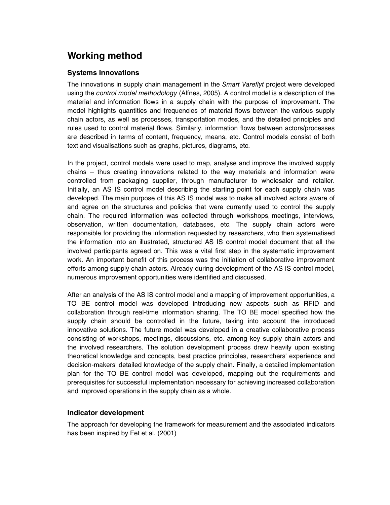## **Working method**

### **Systems Innovations**

The innovations in supply chain management in the Smart Vareflyt project were developed using the control model methodology (Alfnes, 2005). A control model is a description of the material and information flows in a supply chain with the purpose of improvement. The model highlights quantities and frequencies of material flows between the various supply chain actors, as well as processes, transportation modes, and the detailed principles and rules used to control material flows. Similarly, information flows between actors/processes are described in terms of content, frequency, means, etc. Control models consist of both text and visualisations such as graphs, pictures, diagrams, etc.

In the project, control models were used to map, analyse and improve the involved supply chains – thus creating innovations related to the way materials and information were controlled from packaging supplier, through manufacturer to wholesaler and retailer. Initially, an AS IS control model describing the starting point for each supply chain was developed. The main purpose of this AS IS model was to make all involved actors aware of and agree on the structures and policies that were currently used to control the supply chain. The required information was collected through workshops, meetings, interviews, observation, written documentation, databases, etc. The supply chain actors were responsible for providing the information requested by researchers, who then systematised the information into an illustrated, structured AS IS control model document that all the involved participants agreed on. This was a vital first step in the systematic improvement work. An important benefit of this process was the initiation of collaborative improvement efforts among supply chain actors. Already during development of the AS IS control model, numerous improvement opportunities were identified and discussed.

After an analysis of the AS IS control model and a mapping of improvement opportunities, a TO BE control model was developed introducing new aspects such as RFID and collaboration through real-time information sharing. The TO BE model specified how the supply chain should be controlled in the future, taking into account the introduced innovative solutions. The future model was developed in a creative collaborative process consisting of workshops, meetings, discussions, etc. among key supply chain actors and the involved researchers. The solution development process drew heavily upon existing theoretical knowledge and concepts, best practice principles, researchers' experience and decision-makers' detailed knowledge of the supply chain. Finally, a detailed implementation plan for the TO BE control model was developed, mapping out the requirements and prerequisites for successful implementation necessary for achieving increased collaboration and improved operations in the supply chain as a whole.

#### **Indicator development**

The approach for developing the framework for measurement and the associated indicators has been inspired by Fet et al. (2001)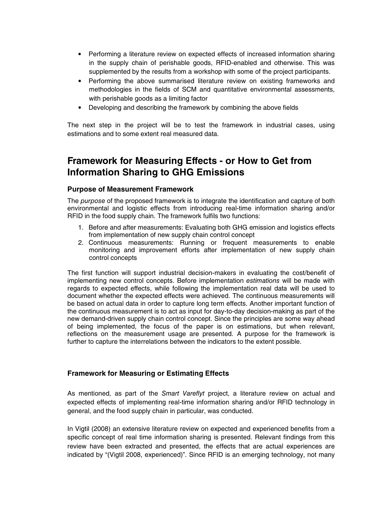- Performing a literature review on expected effects of increased information sharing in the supply chain of perishable goods, RFID-enabled and otherwise. This was supplemented by the results from a workshop with some of the project participants.
- Performing the above summarised literature review on existing frameworks and methodologies in the fields of SCM and quantitative environmental assessments, with perishable goods as a limiting factor
- Developing and describing the framework by combining the above fields

The next step in the project will be to test the framework in industrial cases, using estimations and to some extent real measured data.

## **Framework for Measuring Effects - or How to Get from Information Sharing to GHG Emissions**

### **Purpose of Measurement Framework**

The *purpose* of the proposed framework is to integrate the identification and capture of both environmental and logistic effects from introducing real-time information sharing and/or RFID in the food supply chain. The framework fulfils two functions:

- 1. Before and after measurements: Evaluating both GHG emission and logistics effects from implementation of new supply chain control concept
- 2. Continuous measurements: Running or frequent measurements to enable monitoring and improvement efforts after implementation of new supply chain control concepts

The first function will support industrial decision-makers in evaluating the cost/benefit of implementing new control concepts. Before implementation estimations will be made with regards to expected effects, while following the implementation real data will be used to document whether the expected effects were achieved. The continuous measurements will be based on actual data in order to capture long term effects. Another important function of the continuous measurement is to act as input for day-to-day decision-making as part of the new demand-driven supply chain control concept. Since the principles are some way ahead of being implemented, the focus of the paper is on estimations, but when relevant, reflections on the measurement usage are presented. A purpose for the framework is further to capture the interrelations between the indicators to the extent possible.

### **Framework for Measuring or Estimating Effects**

As mentioned, as part of the *Smart Vareflyt* project, a literature review on actual and expected effects of implementing real-time information sharing and/or RFID technology in general, and the food supply chain in particular, was conducted.

In Vigtil (2008) an extensive literature review on expected and experienced benefits from a specific concept of real time information sharing is presented. Relevant findings from this review have been extracted and presented, the effects that are actual experiences are indicated by "(Vigtil 2008, experienced)". Since RFID is an emerging technology, not many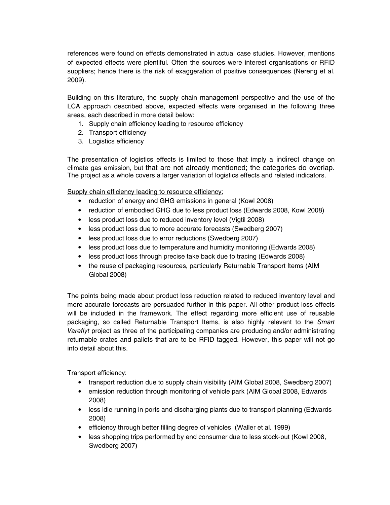references were found on effects demonstrated in actual case studies. However, mentions of expected effects were plentiful. Often the sources were interest organisations or RFID suppliers; hence there is the risk of exaggeration of positive consequences (Nereng et al. 2009).

Building on this literature, the supply chain management perspective and the use of the LCA approach described above, expected effects were organised in the following three areas, each described in more detail below:

- 1. Supply chain efficiency leading to resource efficiency
- 2. Transport efficiency
- 3. Logistics efficiency

The presentation of logistics effects is limited to those that imply a indirect change on climate gas emission, but that are not already mentioned; the categories do overlap. The project as a whole covers a larger variation of logistics effects and related indicators.

Supply chain efficiency leading to resource efficiency:

- reduction of energy and GHG emissions in general (Kowl 2008)
- reduction of embodied GHG due to less product loss (Edwards 2008, Kowl 2008)
- less product loss due to reduced inventory level (Vigtil 2008)
- less product loss due to more accurate forecasts (Swedberg 2007)
- less product loss due to error reductions (Swedberg 2007)
- less product loss due to temperature and humidity monitoring (Edwards 2008)
- less product loss through precise take back due to tracing (Edwards 2008)
- the reuse of packaging resources, particularly Returnable Transport Items (AIM Global 2008)

The points being made about product loss reduction related to reduced inventory level and more accurate forecasts are persuaded further in this paper. All other product loss effects will be included in the framework. The effect regarding more efficient use of reusable packaging, so called Returnable Transport Items, is also highly relevant to the Smart Vareflyt project as three of the participating companies are producing and/or administrating returnable crates and pallets that are to be RFID tagged. However, this paper will not go into detail about this.

Transport efficiency:

- transport reduction due to supply chain visibility (AIM Global 2008, Swedberg 2007)
- emission reduction through monitoring of vehicle park (AIM Global 2008, Edwards 2008)
- less idle running in ports and discharging plants due to transport planning (Edwards 2008)
- efficiency through better filling degree of vehicles (Waller et al. 1999)
- less shopping trips performed by end consumer due to less stock-out (Kowl 2008, Swedberg 2007)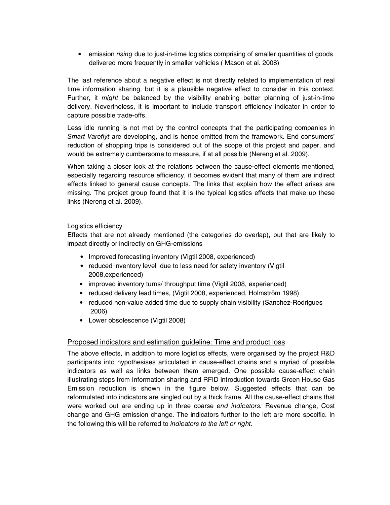• emission *rising* due to just-in-time logistics comprising of smaller quantities of goods delivered more frequently in smaller vehicles ( Mason et al. 2008)

The last reference about a negative effect is not directly related to implementation of real time information sharing, but it is a plausible negative effect to consider in this context. Further, it *might* be balanced by the visibility enabling better planning of just-in-time delivery. Nevertheless, it is important to include transport efficiency indicator in order to capture possible trade-offs.

Less idle running is not met by the control concepts that the participating companies in Smart Vareflyt are developing, and is hence omitted from the framework. End consumers' reduction of shopping trips is considered out of the scope of this project and paper, and would be extremely cumbersome to measure, if at all possible (Nereng et al. 2009).

When taking a closer look at the relations between the cause-effect elements mentioned, especially regarding resource efficiency, it becomes evident that many of them are indirect effects linked to general cause concepts. The links that explain how the effect arises are missing. The project group found that it is the typical logistics effects that make up these links (Nereng et al. 2009).

#### Logistics efficiency

Effects that are not already mentioned (the categories do overlap), but that are likely to impact directly or indirectly on GHG-emissions

- Improved forecasting inventory (Vigtil 2008, experienced)
- reduced inventory level due to less need for safety inventory (Vigtil 2008,experienced)
- improved inventory turns/ throughput time (Vigtil 2008, experienced)
- reduced delivery lead times, (Vigtil 2008, experienced, Holmström 1998)
- reduced non-value added time due to supply chain visibility (Sanchez-Rodrigues 2006)
- Lower obsolescence (Vigtil 2008)

#### Proposed indicators and estimation guideline: Time and product loss

The above effects, in addition to more logistics effects, were organised by the project R&D participants into hypothesises articulated in cause-effect chains and a myriad of possible indicators as well as links between them emerged. One possible cause-effect chain illustrating steps from Information sharing and RFID introduction towards Green House Gas Emission reduction is shown in the figure below. Suggested effects that can be reformulated into indicators are singled out by a thick frame. All the cause-effect chains that were worked out are ending up in three coarse end indicators: Revenue change, Cost change and GHG emission change. The indicators further to the left are more specific. In the following this will be referred to indicators to the left or right.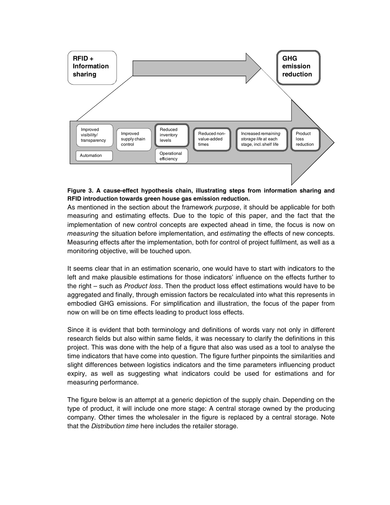

#### **Figure 3. A cause-effect hypothesis chain, illustrating steps from information sharing and RFID introduction towards green house gas emission reduction.**

As mentioned in the section about the framework purpose, it should be applicable for both measuring and estimating effects. Due to the topic of this paper, and the fact that the implementation of new control concepts are expected ahead in time, the focus is now on measuring the situation before implementation, and estimating the effects of new concepts. Measuring effects after the implementation, both for control of project fulfilment, as well as a monitoring objective, will be touched upon.

It seems clear that in an estimation scenario, one would have to start with indicators to the left and make plausible estimations for those indicators' influence on the effects further to the right – such as *Product loss*. Then the product loss effect estimations would have to be aggregated and finally, through emission factors be recalculated into what this represents in embodied GHG emissions. For simplification and illustration, the focus of the paper from now on will be on time effects leading to product loss effects.

Since it is evident that both terminology and definitions of words vary not only in different research fields but also within same fields, it was necessary to clarify the definitions in this project. This was done with the help of a figure that also was used as a tool to analyse the time indicators that have come into question. The figure further pinpoints the similarities and slight differences between logistics indicators and the time parameters influencing product expiry, as well as suggesting what indicators could be used for estimations and for measuring performance.

The figure below is an attempt at a generic depiction of the supply chain. Depending on the type of product, it will include one more stage: A central storage owned by the producing company. Other times the wholesaler in the figure is replaced by a central storage. Note that the Distribution time here includes the retailer storage.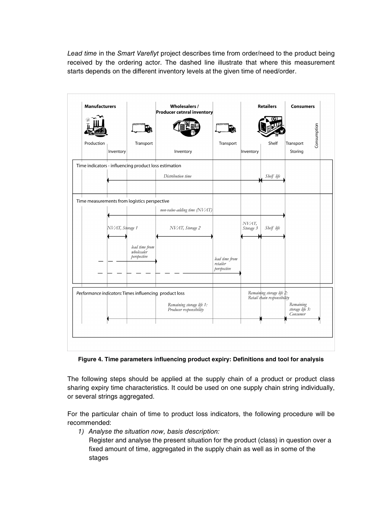Lead time in the Smart Vareflyt project describes time from order/need to the product being received by the ordering actor. The dashed line illustrate that where this measurement starts depends on the different inventory levels at the given time of need/order.



**Figure 4. Time parameters influencing product expiry: Definitions and tool for analysis** 

The following steps should be applied at the supply chain of a product or product class sharing expiry time characteristics. It could be used on one supply chain string individually, or several strings aggregated.

For the particular chain of time to product loss indicators, the following procedure will be recommended:

1) Analyse the situation now, basis description:

Register and analyse the present situation for the product (class) in question over a fixed amount of time, aggregated in the supply chain as well as in some of the stages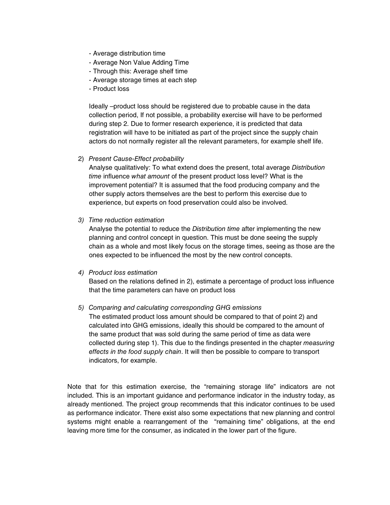- Average distribution time
- Average Non Value Adding Time
- Through this: Average shelf time
- Average storage times at each step
- Product loss

Ideally –product loss should be registered due to probable cause in the data collection period, If not possible, a probability exercise will have to be performed during step 2. Due to former research experience, it is predicted that data registration will have to be initiated as part of the project since the supply chain actors do not normally register all the relevant parameters, for example shelf life.

2) Present Cause-Effect probability

Analyse qualitatively: To what extend does the present, total average Distribution time influence what amount of the present product loss level? What is the improvement potential? It is assumed that the food producing company and the other supply actors themselves are the best to perform this exercise due to experience, but experts on food preservation could also be involved.

3) Time reduction estimation

Analyse the potential to reduce the Distribution time after implementing the new planning and control concept in question. This must be done seeing the supply chain as a whole and most likely focus on the storage times, seeing as those are the ones expected to be influenced the most by the new control concepts.

#### 4) Product loss estimation

Based on the relations defined in 2), estimate a percentage of product loss influence that the time parameters can have on product loss

#### 5) Comparing and calculating corresponding GHG emissions

The estimated product loss amount should be compared to that of point 2) and calculated into GHG emissions, ideally this should be compared to the amount of the same product that was sold during the same period of time as data were collected during step 1). This due to the findings presented in the chapter measuring effects in the food supply chain. It will then be possible to compare to transport indicators, for example.

Note that for this estimation exercise, the "remaining storage life" indicators are not included. This is an important guidance and performance indicator in the industry today, as already mentioned. The project group recommends that this indicator continues to be used as performance indicator. There exist also some expectations that new planning and control systems might enable a rearrangement of the "remaining time" obligations, at the end leaving more time for the consumer, as indicated in the lower part of the figure.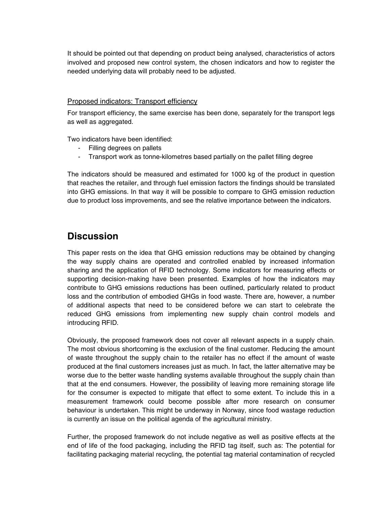It should be pointed out that depending on product being analysed, characteristics of actors involved and proposed new control system, the chosen indicators and how to register the needed underlying data will probably need to be adjusted.

#### Proposed indicators: Transport efficiency

For transport efficiency, the same exercise has been done, separately for the transport legs as well as aggregated.

Two indicators have been identified:

- Filling degrees on pallets
- Transport work as tonne-kilometres based partially on the pallet filling degree

The indicators should be measured and estimated for 1000 kg of the product in question that reaches the retailer, and through fuel emission factors the findings should be translated into GHG emissions. In that way it will be possible to compare to GHG emission reduction due to product loss improvements, and see the relative importance between the indicators.

## **Discussion**

This paper rests on the idea that GHG emission reductions may be obtained by changing the way supply chains are operated and controlled enabled by increased information sharing and the application of RFID technology. Some indicators for measuring effects or supporting decision-making have been presented. Examples of how the indicators may contribute to GHG emissions reductions has been outlined, particularly related to product loss and the contribution of embodied GHGs in food waste. There are, however, a number of additional aspects that need to be considered before we can start to celebrate the reduced GHG emissions from implementing new supply chain control models and introducing RFID.

Obviously, the proposed framework does not cover all relevant aspects in a supply chain. The most obvious shortcoming is the exclusion of the final customer. Reducing the amount of waste throughout the supply chain to the retailer has no effect if the amount of waste produced at the final customers increases just as much. In fact, the latter alternative may be worse due to the better waste handling systems available throughout the supply chain than that at the end consumers. However, the possibility of leaving more remaining storage life for the consumer is expected to mitigate that effect to some extent. To include this in a measurement framework could become possible after more research on consumer behaviour is undertaken. This might be underway in Norway, since food wastage reduction is currently an issue on the political agenda of the agricultural ministry.

Further, the proposed framework do not include negative as well as positive effects at the end of life of the food packaging, including the RFID tag itself, such as: The potential for facilitating packaging material recycling, the potential tag material contamination of recycled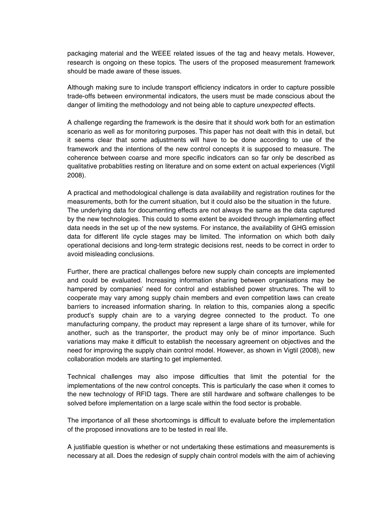packaging material and the WEEE related issues of the tag and heavy metals. However, research is ongoing on these topics. The users of the proposed measurement framework should be made aware of these issues.

Although making sure to include transport efficiency indicators in order to capture possible trade-offs between environmental indicators, the users must be made conscious about the danger of limiting the methodology and not being able to capture *unexpected* effects.

A challenge regarding the framework is the desire that it should work both for an estimation scenario as well as for monitoring purposes. This paper has not dealt with this in detail, but it seems clear that some adjustments will have to be done according to use of the framework and the intentions of the new control concepts it is supposed to measure. The coherence between coarse and more specific indicators can so far only be described as qualitative probablities resting on literature and on some extent on actual experiences (Vigtil 2008).

A practical and methodological challenge is data availability and registration routines for the measurements, both for the current situation, but it could also be the situation in the future. The underlying data for documenting effects are not always the same as the data captured by the new technologies. This could to some extent be avoided through implementing effect data needs in the set up of the new systems. For instance, the availability of GHG emission data for different life cycle stages may be limited. The information on which both daily operational decisions and long-term strategic decisions rest, needs to be correct in order to avoid misleading conclusions.

Further, there are practical challenges before new supply chain concepts are implemented and could be evaluated. Increasing information sharing between organisations may be hampered by companies' need for control and established power structures. The will to cooperate may vary among supply chain members and even competition laws can create barriers to increased information sharing. In relation to this, companies along a specific product's supply chain are to a varying degree connected to the product. To one manufacturing company, the product may represent a large share of its turnover, while for another, such as the transporter, the product may only be of minor importance. Such variations may make it difficult to establish the necessary agreement on objectives and the need for improving the supply chain control model. However, as shown in Vigtil (2008), new collaboration models are starting to get implemented.

Technical challenges may also impose difficulties that limit the potential for the implementations of the new control concepts. This is particularly the case when it comes to the new technology of RFID tags. There are still hardware and software challenges to be solved before implementation on a large scale within the food sector is probable.

The importance of all these shortcomings is difficult to evaluate before the implementation of the proposed innovations are to be tested in real life.

A justifiable question is whether or not undertaking these estimations and measurements is necessary at all. Does the redesign of supply chain control models with the aim of achieving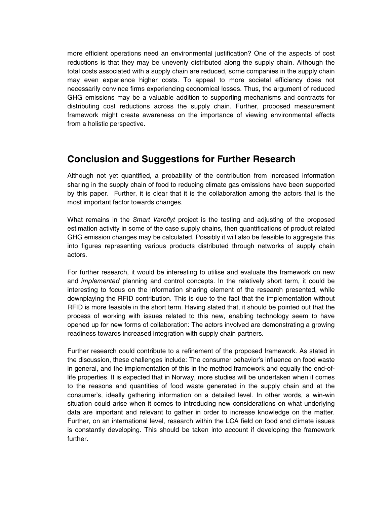more efficient operations need an environmental justification? One of the aspects of cost reductions is that they may be unevenly distributed along the supply chain. Although the total costs associated with a supply chain are reduced, some companies in the supply chain may even experience higher costs. To appeal to more societal efficiency does not necessarily convince firms experiencing economical losses. Thus, the argument of reduced GHG emissions may be a valuable addition to supporting mechanisms and contracts for distributing cost reductions across the supply chain. Further, proposed measurement framework might create awareness on the importance of viewing environmental effects from a holistic perspective.

### **Conclusion and Suggestions for Further Research**

Although not yet quantified, a probability of the contribution from increased information sharing in the supply chain of food to reducing climate gas emissions have been supported by this paper. Further, it is clear that it is the collaboration among the actors that is the most important factor towards changes.

What remains in the *Smart Vareflyt* project is the testing and adjusting of the proposed estimation activity in some of the case supply chains, then quantifications of product related GHG emission changes may be calculated. Possibly it will also be feasible to aggregate this into figures representing various products distributed through networks of supply chain actors.

For further research, it would be interesting to utilise and evaluate the framework on new and *implemented* planning and control concepts. In the relatively short term, it could be interesting to focus on the information sharing element of the research presented, while downplaying the RFID contribution. This is due to the fact that the implementation without RFID is more feasible in the short term. Having stated that, it should be pointed out that the process of working with issues related to this new, enabling technology seem to have opened up for new forms of collaboration: The actors involved are demonstrating a growing readiness towards increased integration with supply chain partners.

Further research could contribute to a refinement of the proposed framework. As stated in the discussion, these challenges include: The consumer behavior's influence on food waste in general, and the implementation of this in the method framework and equally the end-oflife properties. It is expected that in Norway, more studies will be undertaken when it comes to the reasons and quantities of food waste generated in the supply chain and at the consumer's, ideally gathering information on a detailed level. In other words, a win-win situation could arise when it comes to introducing new considerations on what underlying data are important and relevant to gather in order to increase knowledge on the matter. Further, on an international level, research within the LCA field on food and climate issues is constantly developing. This should be taken into account if developing the framework further.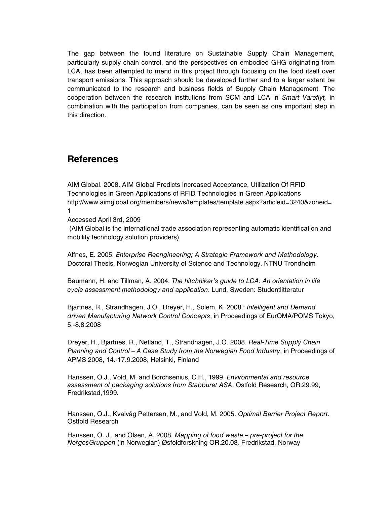The gap between the found literature on Sustainable Supply Chain Management, particularly supply chain control, and the perspectives on embodied GHG originating from LCA, has been attempted to mend in this project through focusing on the food itself over transport emissions. This approach should be developed further and to a larger extent be communicated to the research and business fields of Supply Chain Management. The cooperation between the research institutions from SCM and LCA in Smart Vareflyt, in combination with the participation from companies, can be seen as one important step in this direction.

### **References**

AIM Global. 2008. AIM Global Predicts Increased Acceptance, Utilization Of RFID Technologies in Green Applications of RFID Technologies in Green Applications http://www.aimglobal.org/members/news/templates/template.aspx?articleid=3240&zoneid= 1

Accessed April 3rd, 2009

 (AIM Global is the international trade association representing automatic identification and mobility technology solution providers)

Alfnes, E. 2005. Enterprise Reengineering; A Strategic Framework and Methodology. Doctoral Thesis, Norwegian University of Science and Technology, NTNU Trondheim

Baumann, H. and Tillman, A. 2004. The hitchhiker's guide to LCA: An orientation in life cycle assessment methodology and application. Lund, Sweden: Studentlitteratur

Bjartnes, R., Strandhagen, J.O., Dreyer, H., Solem, K. 2008.: Intelligent and Demand driven Manufacturing Network Control Concepts, in Proceedings of EurOMA/POMS Tokyo, 5.-8.8.2008

Dreyer, H., Bjartnes, R., Netland, T., Strandhagen, J.O. 2008. Real-Time Supply Chain Planning and Control – A Case Study from the Norwegian Food Industry, in Proceedings of APMS 2008, 14.-17.9.2008, Helsinki, Finland

Hanssen, O.J., Vold, M. and Borchsenius, C.H., 1999. Environmental and resource assessment of packaging solutions from Stabburet ASA. Ostfold Research, OR.29.99, Fredrikstad,1999.

Hanssen, O.J., Kvalvåg Pettersen, M., and Vold, M. 2005. Optimal Barrier Project Report. Ostfold Research

Hanssen, O. J., and Olsen, A. 2008. Mapping of food waste – pre-project for the NorgesGruppen (in Norwegian) Øsfoldforskning OR.20.08, Fredrikstad, Norway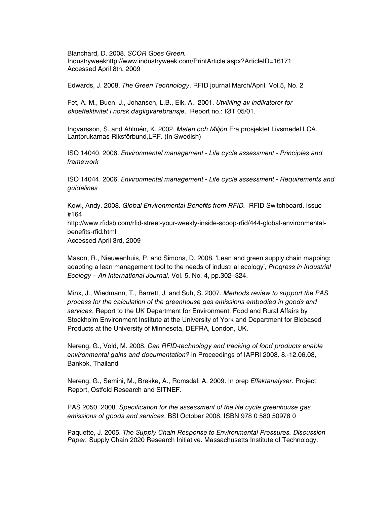Blanchard, D. 2008. SCOR Goes Green. Industryweekhttp://www.industryweek.com/PrintArticle.aspx?ArticleID=16171 Accessed April 8th, 2009

Edwards, J. 2008. The Green Technology. RFID journal March/April. Vol.5, No. 2

Fet, A. M., Buen, J., Johansen, L.B., Eik, A.. 2001. Utvikling av indikatorer for økoeffektivitet i norsk dagligvarebransje. Report no.: IØT 05/01.

Ingvarsson, S. and Ahlmén, K. 2002. Maten och Miljön Fra prosjektet Livsmedel LCA. Lantbrukarnas Riksförbund,LRF. (In Swedish)

ISO 14040. 2006. Environmental management - Life cycle assessment - Principles and framework

ISO 14044. 2006. Environmental management - Life cycle assessment - Requirements and guidelines

Kowl, Andy. 2008. Global Environmental Benefits from RFID. RFID Switchboard. Issue #164 http://www.rfidsb.com/rfid-street-your-weekly-inside-scoop-rfid/444-global-environmentalbenefits-rfid.html Accessed April 3rd, 2009

Mason, R., Nieuwenhuis, P. and Simons, D. 2008. 'Lean and green supply chain mapping: adapting a lean management tool to the needs of industrial ecology', Progress in Industrial Ecology – An International Journal, Vol. 5, No. 4, pp.302–324.

Minx, J., Wiedmann, T., Barrett, J. and Suh, S. 2007. Methods review to support the PAS process for the calculation of the greenhouse gas emissions embodied in goods and services, Report to the UK Department for Environment, Food and Rural Affairs by Stockholm Environment Institute at the University of York and Department for Biobased Products at the University of Minnesota, DEFRA, London, UK.

Nereng, G., Vold, M. 2008. Can RFID-technology and tracking of food products enable environmental gains and documentation? in Proceedings of IAPRI 2008. 8.-12.06.08, Bankok, Thailand

Nereng, G., Semini, M., Brekke, A., Romsdal, A. 2009. In prep Effektanalyser. Project Report, Ostfold Research and SITNEF.

PAS 2050. 2008. Specification for the assessment of the life cycle greenhouse gas emissions of goods and services. BSI October 2008. ISBN 978 0 580 50978 0

Paquette, J. 2005. The Supply Chain Response to Environmental Pressures. Discussion Paper. Supply Chain 2020 Research Initiative. Massachusetts Institute of Technology.